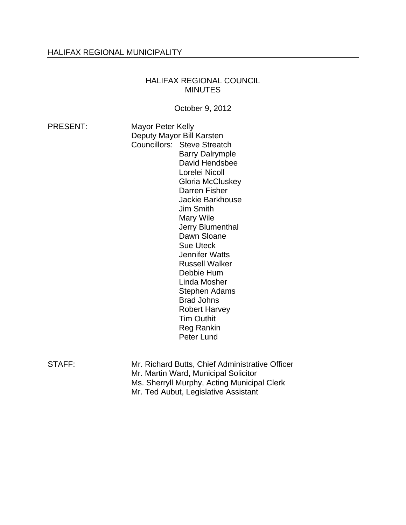# HALIFAX REGIONAL MUNICIPALITY

#### HALIFAX REGIONAL COUNCIL MINUTES

October 9, 2012

| <b>PRESENT:</b> | Mayor Peter Kelly           |  |
|-----------------|-----------------------------|--|
|                 | Deputy Mayor Bill Karsten   |  |
|                 | Councillors: Steve Streatch |  |
|                 | <b>Barry Dalrymple</b>      |  |
|                 | David Hendsbee              |  |
|                 | Lorelei Nicoll              |  |
|                 | Gloria McCluskey            |  |
|                 | Darren Fisher               |  |
|                 | Jackie Barkhouse            |  |
|                 | <b>Jim Smith</b>            |  |
|                 | Mary Wile                   |  |
|                 | Jerry Blumenthal            |  |
|                 | Dawn Sloane                 |  |
|                 | <b>Sue Uteck</b>            |  |
|                 | Jennifer Watts              |  |
|                 | Russell Walker              |  |
|                 | Debbie Hum                  |  |
|                 | Linda Mosher                |  |
|                 | Stephen Adams               |  |
|                 | <b>Brad Johns</b>           |  |
|                 | Robert Harvey               |  |
|                 | <b>Tim Outhit</b>           |  |
|                 | Reg Rankin                  |  |
|                 | Peter Lund                  |  |
|                 |                             |  |
|                 |                             |  |

STAFF: Mr. Richard Butts, Chief Administrative Officer Mr. Martin Ward, Municipal Solicitor Ms. Sherryll Murphy, Acting Municipal Clerk Mr. Ted Aubut, Legislative Assistant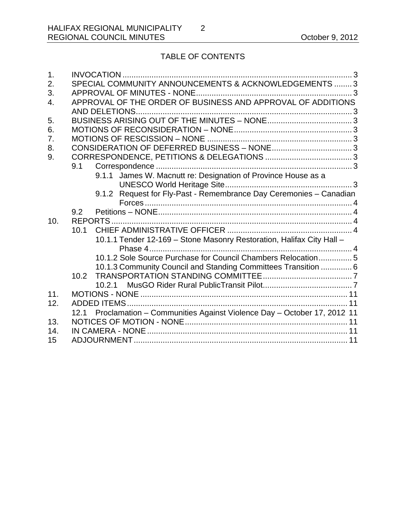# TABLE OF CONTENTS

| $\mathbf 1$ . |      |                                                                       |  |
|---------------|------|-----------------------------------------------------------------------|--|
| 2.            |      | SPECIAL COMMUNITY ANNOUNCEMENTS & ACKNOWLEDGEMENTS  3                 |  |
| 3.            |      |                                                                       |  |
| 4.            |      | APPROVAL OF THE ORDER OF BUSINESS AND APPROVAL OF ADDITIONS           |  |
|               |      | AND DELETIONS                                                         |  |
| 5.            |      |                                                                       |  |
| 6.            |      |                                                                       |  |
| 7.            |      |                                                                       |  |
| 8.            |      |                                                                       |  |
| 9.            |      |                                                                       |  |
|               | 9.1  |                                                                       |  |
|               |      | 9.1.1 James W. Macnutt re: Designation of Province House as a         |  |
|               |      |                                                                       |  |
|               |      | 9.1.2 Request for Fly-Past - Remembrance Day Ceremonies - Canadian    |  |
|               |      |                                                                       |  |
|               | 9.2  |                                                                       |  |
| 10.           |      |                                                                       |  |
|               | 10.1 |                                                                       |  |
|               |      | 10.1.1 Tender 12-169 - Stone Masonry Restoration, Halifax City Hall - |  |
|               |      | Phase 4                                                               |  |
|               |      |                                                                       |  |
|               |      | 10.1.2 Sole Source Purchase for Council Chambers Relocation 5         |  |
|               |      | 10.1.3 Community Council and Standing Committees Transition  6        |  |
|               | 10.2 |                                                                       |  |
|               |      | 10.2.1                                                                |  |
| 11.           |      |                                                                       |  |
| 12.           |      |                                                                       |  |
|               | 12.1 | Proclamation - Communities Against Violence Day - October 17, 2012 11 |  |
| 13.           |      |                                                                       |  |
| 14.           |      |                                                                       |  |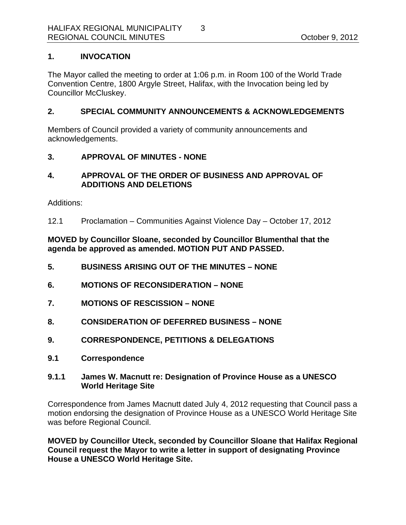# **1. INVOCATION**

The Mayor called the meeting to order at 1:06 p.m. in Room 100 of the World Trade Convention Centre, 1800 Argyle Street, Halifax, with the Invocation being led by Councillor McCluskey.

#### **2. SPECIAL COMMUNITY ANNOUNCEMENTS & ACKNOWLEDGEMENTS**

Members of Council provided a variety of community announcements and acknowledgements.

### **3. APPROVAL OF MINUTES - NONE**

## **4. APPROVAL OF THE ORDER OF BUSINESS AND APPROVAL OF ADDITIONS AND DELETIONS**

Additions:

12.1 Proclamation – Communities Against Violence Day – October 17, 2012

## **MOVED by Councillor Sloane, seconded by Councillor Blumenthal that the agenda be approved as amended. MOTION PUT AND PASSED.**

- **5. BUSINESS ARISING OUT OF THE MINUTES NONE**
- **6. MOTIONS OF RECONSIDERATION NONE**
- **7. MOTIONS OF RESCISSION NONE**
- **8. CONSIDERATION OF DEFERRED BUSINESS NONE**
- **9. CORRESPONDENCE, PETITIONS & DELEGATIONS**
- **9.1 Correspondence**

### **9.1.1 James W. Macnutt re: Designation of Province House as a UNESCO World Heritage Site**

Correspondence from James Macnutt dated July 4, 2012 requesting that Council pass a motion endorsing the designation of Province House as a UNESCO World Heritage Site was before Regional Council.

**MOVED by Councillor Uteck, seconded by Councillor Sloane that Halifax Regional Council request the Mayor to write a letter in support of designating Province House a UNESCO World Heritage Site.**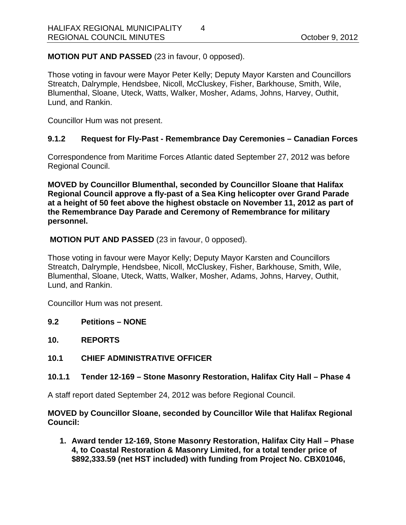**MOTION PUT AND PASSED** (23 in favour, 0 opposed).

Those voting in favour were Mayor Peter Kelly; Deputy Mayor Karsten and Councillors Streatch, Dalrymple, Hendsbee, Nicoll, McCluskey, Fisher, Barkhouse, Smith, Wile, Blumenthal, Sloane, Uteck, Watts, Walker, Mosher, Adams, Johns, Harvey, Outhit, Lund, and Rankin.

Councillor Hum was not present.

### **9.1.2 Request for Fly-Past - Remembrance Day Ceremonies – Canadian Forces**

Correspondence from Maritime Forces Atlantic dated September 27, 2012 was before Regional Council.

**MOVED by Councillor Blumenthal, seconded by Councillor Sloane that Halifax Regional Council approve a fly-past of a Sea King helicopter over Grand Parade at a height of 50 feet above the highest obstacle on November 11, 2012 as part of the Remembrance Day Parade and Ceremony of Remembrance for military personnel.** 

 **MOTION PUT AND PASSED** (23 in favour, 0 opposed).

Those voting in favour were Mayor Kelly; Deputy Mayor Karsten and Councillors Streatch, Dalrymple, Hendsbee, Nicoll, McCluskey, Fisher, Barkhouse, Smith, Wile, Blumenthal, Sloane, Uteck, Watts, Walker, Mosher, Adams, Johns, Harvey, Outhit, Lund, and Rankin.

Councillor Hum was not present.

- **9.2 Petitions NONE**
- **10. REPORTS**
- **10.1 CHIEF ADMINISTRATIVE OFFICER**

### **10.1.1 Tender 12-169 – Stone Masonry Restoration, Halifax City Hall – Phase 4**

A staff report dated September 24, 2012 was before Regional Council.

**MOVED by Councillor Sloane, seconded by Councillor Wile that Halifax Regional Council:** 

**1. Award tender 12-169, Stone Masonry Restoration, Halifax City Hall – Phase 4, to Coastal Restoration & Masonry Limited, for a total tender price of \$892,333.59 (net HST included) with funding from Project No. CBX01046,**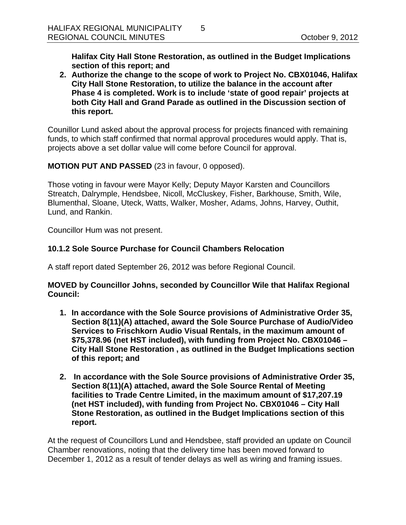**Halifax City Hall Stone Restoration, as outlined in the Budget Implications section of this report; and** 

**2. Authorize the change to the scope of work to Project No. CBX01046, Halifax City Hall Stone Restoration, to utilize the balance in the account after Phase 4 is completed. Work is to include 'state of good repair' projects at both City Hall and Grand Parade as outlined in the Discussion section of this report.** 

Counillor Lund asked about the approval process for projects financed with remaining funds, to which staff confirmed that normal approval procedures would apply. That is, projects above a set dollar value will come before Council for approval.

### **MOTION PUT AND PASSED** (23 in favour, 0 opposed).

Those voting in favour were Mayor Kelly; Deputy Mayor Karsten and Councillors Streatch, Dalrymple, Hendsbee, Nicoll, McCluskey, Fisher, Barkhouse, Smith, Wile, Blumenthal, Sloane, Uteck, Watts, Walker, Mosher, Adams, Johns, Harvey, Outhit, Lund, and Rankin.

Councillor Hum was not present.

# **10.1.2 Sole Source Purchase for Council Chambers Relocation**

A staff report dated September 26, 2012 was before Regional Council.

### **MOVED by Councillor Johns, seconded by Councillor Wile that Halifax Regional Council:**

- **1. In accordance with the Sole Source provisions of Administrative Order 35, Section 8(11)(A) attached, award the Sole Source Purchase of Audio/Video Services to Frischkorn Audio Visual Rentals, in the maximum amount of \$75,378.96 (net HST included), with funding from Project No. CBX01046 – City Hall Stone Restoration , as outlined in the Budget Implications section of this report; and**
- **2. In accordance with the Sole Source provisions of Administrative Order 35, Section 8(11)(A) attached, award the Sole Source Rental of Meeting facilities to Trade Centre Limited, in the maximum amount of \$17,207.19 (net HST included), with funding from Project No. CBX01046 – City Hall Stone Restoration, as outlined in the Budget Implications section of this report.**

At the request of Councillors Lund and Hendsbee, staff provided an update on Council Chamber renovations, noting that the delivery time has been moved forward to December 1, 2012 as a result of tender delays as well as wiring and framing issues.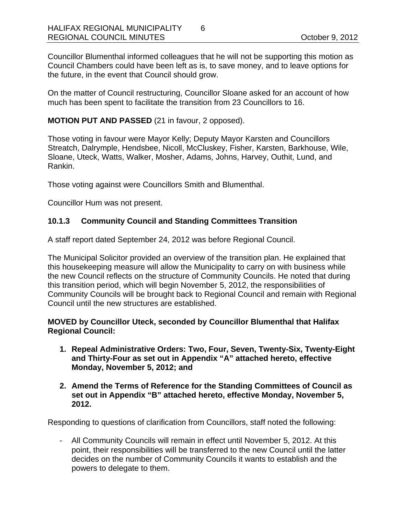Councillor Blumenthal informed colleagues that he will not be supporting this motion as Council Chambers could have been left as is, to save money, and to leave options for the future, in the event that Council should grow.

On the matter of Council restructuring, Councillor Sloane asked for an account of how much has been spent to facilitate the transition from 23 Councillors to 16.

## **MOTION PUT AND PASSED** (21 in favour, 2 opposed).

Those voting in favour were Mayor Kelly; Deputy Mayor Karsten and Councillors Streatch, Dalrymple, Hendsbee, Nicoll, McCluskey, Fisher, Karsten, Barkhouse, Wile, Sloane, Uteck, Watts, Walker, Mosher, Adams, Johns, Harvey, Outhit, Lund, and Rankin.

Those voting against were Councillors Smith and Blumenthal.

Councillor Hum was not present.

# **10.1.3 Community Council and Standing Committees Transition**

A staff report dated September 24, 2012 was before Regional Council.

The Municipal Solicitor provided an overview of the transition plan. He explained that this housekeeping measure will allow the Municipality to carry on with business while the new Council reflects on the structure of Community Councils. He noted that during this transition period, which will begin November 5, 2012, the responsibilities of Community Councils will be brought back to Regional Council and remain with Regional Council until the new structures are established.

**MOVED by Councillor Uteck, seconded by Councillor Blumenthal that Halifax Regional Council:** 

- **1. Repeal Administrative Orders: Two, Four, Seven, Twenty-Six, Twenty-Eight and Thirty-Four as set out in Appendix "A" attached hereto, effective Monday, November 5, 2012; and**
- **2. Amend the Terms of Reference for the Standing Committees of Council as set out in Appendix "B" attached hereto, effective Monday, November 5, 2012.**

Responding to questions of clarification from Councillors, staff noted the following:

- All Community Councils will remain in effect until November 5, 2012. At this point, their responsibilities will be transferred to the new Council until the latter decides on the number of Community Councils it wants to establish and the powers to delegate to them.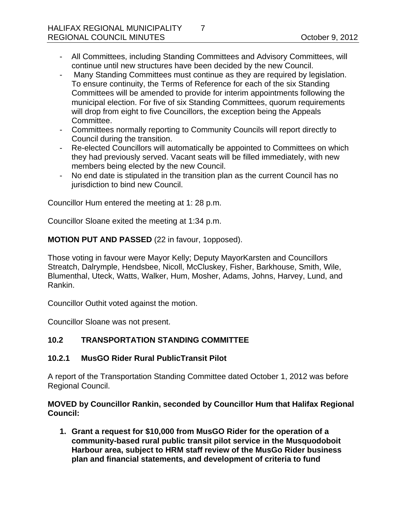- All Committees, including Standing Committees and Advisory Committees, will continue until new structures have been decided by the new Council.
- Many Standing Committees must continue as they are required by legislation. To ensure continuity, the Terms of Reference for each of the six Standing Committees will be amended to provide for interim appointments following the municipal election. For five of six Standing Committees, quorum requirements will drop from eight to five Councillors, the exception being the Appeals Committee.
- Committees normally reporting to Community Councils will report directly to Council during the transition.
- Re-elected Councillors will automatically be appointed to Committees on which they had previously served. Vacant seats will be filled immediately, with new members being elected by the new Council.
- No end date is stipulated in the transition plan as the current Council has no jurisdiction to bind new Council.

Councillor Hum entered the meeting at 1: 28 p.m.

Councillor Sloane exited the meeting at 1:34 p.m.

**MOTION PUT AND PASSED** (22 in favour, 1opposed).

Those voting in favour were Mayor Kelly; Deputy MayorKarsten and Councillors Streatch, Dalrymple, Hendsbee, Nicoll, McCluskey, Fisher, Barkhouse, Smith, Wile, Blumenthal, Uteck, Watts, Walker, Hum, Mosher, Adams, Johns, Harvey, Lund, and Rankin.

Councillor Outhit voted against the motion.

Councillor Sloane was not present.

# **10.2 TRANSPORTATION STANDING COMMITTEE**

# **10.2.1 MusGO Rider Rural PublicTransit Pilot**

A report of the Transportation Standing Committee dated October 1, 2012 was before Regional Council.

**MOVED by Councillor Rankin, seconded by Councillor Hum that Halifax Regional Council:** 

**1. Grant a request for \$10,000 from MusGO Rider for the operation of a community-based rural public transit pilot service in the Musquodoboit Harbour area, subject to HRM staff review of the MusGo Rider business plan and financial statements, and development of criteria to fund**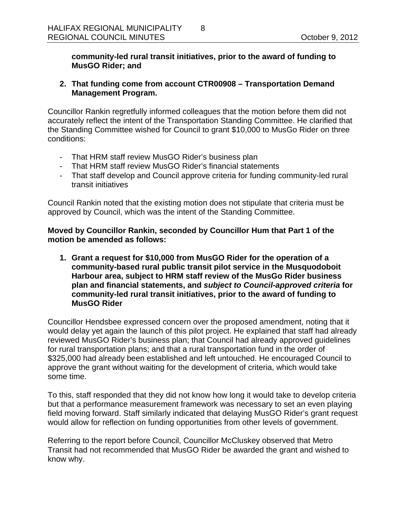**community-led rural transit initiatives, prior to the award of funding to MusGO Rider; and** 

# **2. That funding come from account CTR00908 – Transportation Demand Management Program.**

Councillor Rankin regretfully informed colleagues that the motion before them did not accurately reflect the intent of the Transportation Standing Committee. He clarified that the Standing Committee wished for Council to grant \$10,000 to MusGo Rider on three conditions:

- That HRM staff review MusGO Rider's business plan
- That HRM staff review MusGO Rider's financial statements
- That staff develop and Council approve criteria for funding community-led rural transit initiatives

Council Rankin noted that the existing motion does not stipulate that criteria must be approved by Council, which was the intent of the Standing Committee.

**Moved by Councillor Rankin, seconded by Councillor Hum that Part 1 of the motion be amended as follows:** 

**1. Grant a request for \$10,000 from MusGO Rider for the operation of a community-based rural public transit pilot service in the Musquodoboit Harbour area, subject to HRM staff review of the MusGo Rider business plan and financial statements, and** *subject to Council-approved criteria* **for community-led rural transit initiatives, prior to the award of funding to MusGO Rider** 

Councillor Hendsbee expressed concern over the proposed amendment, noting that it would delay yet again the launch of this pilot project. He explained that staff had already reviewed MusGO Rider's business plan; that Council had already approved guidelines for rural transportation plans; and that a rural transportation fund in the order of \$325,000 had already been established and left untouched. He encouraged Council to approve the grant without waiting for the development of criteria, which would take some time.

To this, staff responded that they did not know how long it would take to develop criteria but that a performance measurement framework was necessary to set an even playing field moving forward. Staff similarly indicated that delaying MusGO Rider's grant request would allow for reflection on funding opportunities from other levels of government.

Referring to the report before Council, Councillor McCluskey observed that Metro Transit had not recommended that MusGO Rider be awarded the grant and wished to know why.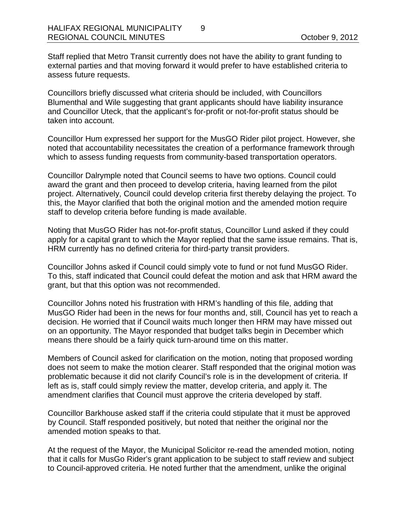Staff replied that Metro Transit currently does not have the ability to grant funding to external parties and that moving forward it would prefer to have established criteria to assess future requests.

Councillors briefly discussed what criteria should be included, with Councillors Blumenthal and Wile suggesting that grant applicants should have liability insurance and Councillor Uteck, that the applicant's for-profit or not-for-profit status should be taken into account.

Councillor Hum expressed her support for the MusGO Rider pilot project. However, she noted that accountability necessitates the creation of a performance framework through which to assess funding requests from community-based transportation operators.

Councillor Dalrymple noted that Council seems to have two options. Council could award the grant and then proceed to develop criteria, having learned from the pilot project. Alternatively, Council could develop criteria first thereby delaying the project. To this, the Mayor clarified that both the original motion and the amended motion require staff to develop criteria before funding is made available.

Noting that MusGO Rider has not-for-profit status, Councillor Lund asked if they could apply for a capital grant to which the Mayor replied that the same issue remains. That is, HRM currently has no defined criteria for third-party transit providers.

Councillor Johns asked if Council could simply vote to fund or not fund MusGO Rider. To this, staff indicated that Council could defeat the motion and ask that HRM award the grant, but that this option was not recommended.

Councillor Johns noted his frustration with HRM's handling of this file, adding that MusGO Rider had been in the news for four months and, still, Council has yet to reach a decision. He worried that if Council waits much longer then HRM may have missed out on an opportunity. The Mayor responded that budget talks begin in December which means there should be a fairly quick turn-around time on this matter.

Members of Council asked for clarification on the motion, noting that proposed wording does not seem to make the motion clearer. Staff responded that the original motion was problematic because it did not clarify Council's role is in the development of criteria. If left as is, staff could simply review the matter, develop criteria, and apply it. The amendment clarifies that Council must approve the criteria developed by staff.

Councillor Barkhouse asked staff if the criteria could stipulate that it must be approved by Council. Staff responded positively, but noted that neither the original nor the amended motion speaks to that.

At the request of the Mayor, the Municipal Solicitor re-read the amended motion, noting that it calls for MusGo Rider's grant application to be subject to staff review and subject to Council-approved criteria. He noted further that the amendment, unlike the original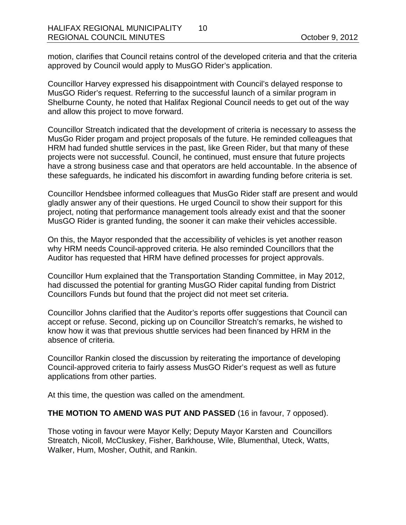motion, clarifies that Council retains control of the developed criteria and that the criteria approved by Council would apply to MusGO Rider's application.

Councillor Harvey expressed his disappointment with Council's delayed response to MusGO Rider's request. Referring to the successful launch of a similar program in Shelburne County, he noted that Halifax Regional Council needs to get out of the way and allow this project to move forward.

Councillor Streatch indicated that the development of criteria is necessary to assess the MusGo Rider progam and project proposals of the future. He reminded colleagues that HRM had funded shuttle services in the past, like Green Rider, but that many of these projects were not successful. Council, he continued, must ensure that future projects have a strong business case and that operators are held accountable. In the absence of these safeguards, he indicated his discomfort in awarding funding before criteria is set.

Councillor Hendsbee informed colleagues that MusGo Rider staff are present and would gladly answer any of their questions. He urged Council to show their support for this project, noting that performance management tools already exist and that the sooner MusGO Rider is granted funding, the sooner it can make their vehicles accessible.

On this, the Mayor responded that the accessibility of vehicles is yet another reason why HRM needs Council-approved criteria. He also reminded Councillors that the Auditor has requested that HRM have defined processes for project approvals.

Councillor Hum explained that the Transportation Standing Committee, in May 2012, had discussed the potential for granting MusGO Rider capital funding from District Councillors Funds but found that the project did not meet set criteria.

Councillor Johns clarified that the Auditor's reports offer suggestions that Council can accept or refuse. Second, picking up on Councillor Streatch's remarks, he wished to know how it was that previous shuttle services had been financed by HRM in the absence of criteria.

Councillor Rankin closed the discussion by reiterating the importance of developing Council-approved criteria to fairly assess MusGO Rider's request as well as future applications from other parties.

At this time, the question was called on the amendment.

### **THE MOTION TO AMEND WAS PUT AND PASSED** (16 in favour, 7 opposed).

Those voting in favour were Mayor Kelly; Deputy Mayor Karsten and Councillors Streatch, Nicoll, McCluskey, Fisher, Barkhouse, Wile, Blumenthal, Uteck, Watts, Walker, Hum, Mosher, Outhit, and Rankin.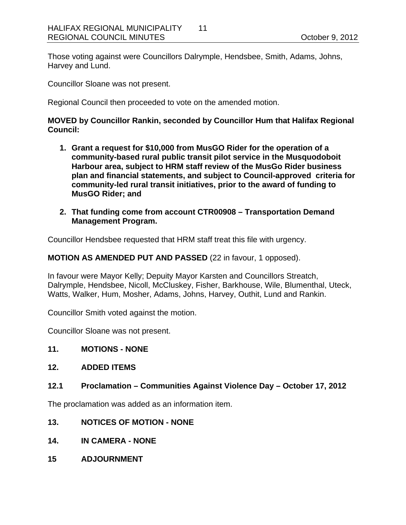Those voting against were Councillors Dalrymple, Hendsbee, Smith, Adams, Johns, Harvey and Lund.

Councillor Sloane was not present.

Regional Council then proceeded to vote on the amended motion.

#### **MOVED by Councillor Rankin, seconded by Councillor Hum that Halifax Regional Council:**

- **1. Grant a request for \$10,000 from MusGO Rider for the operation of a community-based rural public transit pilot service in the Musquodoboit Harbour area, subject to HRM staff review of the MusGo Rider business plan and financial statements, and subject to Council-approved criteria for community-led rural transit initiatives, prior to the award of funding to MusGO Rider; and**
- **2. That funding come from account CTR00908 Transportation Demand Management Program.**

Councillor Hendsbee requested that HRM staff treat this file with urgency.

#### **MOTION AS AMENDED PUT AND PASSED** (22 in favour, 1 opposed).

In favour were Mayor Kelly; Depuity Mayor Karsten and Councillors Streatch, Dalrymple, Hendsbee, Nicoll, McCluskey, Fisher, Barkhouse, Wile, Blumenthal, Uteck, Watts, Walker, Hum, Mosher, Adams, Johns, Harvey, Outhit, Lund and Rankin.

Councillor Smith voted against the motion.

Councillor Sloane was not present.

#### **11. MOTIONS - NONE**

#### **12. ADDED ITEMS**

#### **12.1 Proclamation – Communities Against Violence Day – October 17, 2012**

The proclamation was added as an information item.

#### **13. NOTICES OF MOTION - NONE**

- **14. IN CAMERA NONE**
- **15 ADJOURNMENT**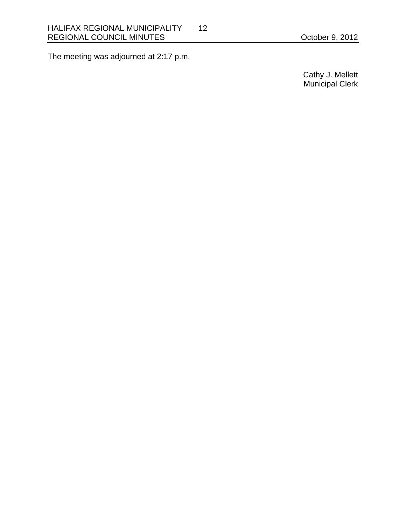The meeting was adjourned at 2:17 p.m.

 Cathy J. Mellett Municipal Clerk